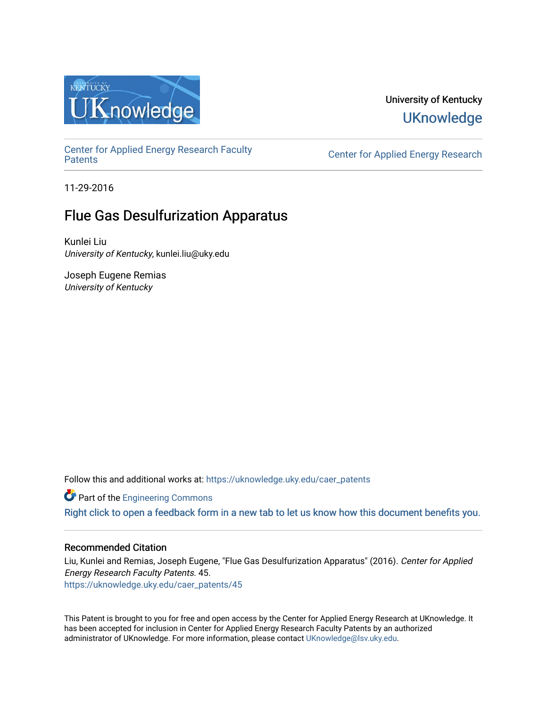

# University of Kentucky **UKnowledge**

[Center for Applied Energy Research Faculty](https://uknowledge.uky.edu/caer_patents)

Center for Applied Energy Research

11-29-2016

# Flue Gas Desulfurization Apparatus

Kunlei Liu University of Kentucky, kunlei.liu@uky.edu

Joseph Eugene Remias University of Kentucky

Follow this and additional works at: [https://uknowledge.uky.edu/caer\\_patents](https://uknowledge.uky.edu/caer_patents?utm_source=uknowledge.uky.edu%2Fcaer_patents%2F45&utm_medium=PDF&utm_campaign=PDFCoverPages) 

**Part of the [Engineering Commons](http://network.bepress.com/hgg/discipline/217?utm_source=uknowledge.uky.edu%2Fcaer_patents%2F45&utm_medium=PDF&utm_campaign=PDFCoverPages)** 

[Right click to open a feedback form in a new tab to let us know how this document benefits you.](https://uky.az1.qualtrics.com/jfe/form/SV_9mq8fx2GnONRfz7)

# Recommended Citation

Liu, Kunlei and Remias, Joseph Eugene, "Flue Gas Desulfurization Apparatus" (2016). Center for Applied Energy Research Faculty Patents. 45. [https://uknowledge.uky.edu/caer\\_patents/45](https://uknowledge.uky.edu/caer_patents/45?utm_source=uknowledge.uky.edu%2Fcaer_patents%2F45&utm_medium=PDF&utm_campaign=PDFCoverPages)

This Patent is brought to you for free and open access by the Center for Applied Energy Research at UKnowledge. It has been accepted for inclusion in Center for Applied Energy Research Faculty Patents by an authorized administrator of UKnowledge. For more information, please contact [UKnowledge@lsv.uky.edu](mailto:UKnowledge@lsv.uky.edu).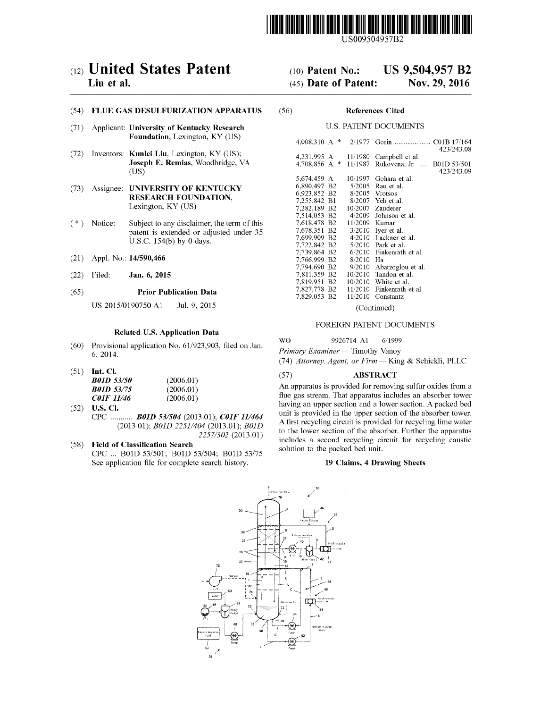

US009504957B2

# c12) **United States Patent**

### **Liu et al.**

#### (54) **FLUE GAS DESULFURIZATION APPARATUS**

- (71) Applicant: **University of Kentucky Research Foundation,** Lexington, KY (US)
- (72) Inventors: **Kunlei Liu,** Lexington, KY (US); **Joseph E. Remias,** Woodbridge, VA  $(US)$
- (73) Assignee: **UNIVERSITY OF KENTUCKY RESEARCH FOUNDATION,**  Lexington, KY (US)
- ( \*) Notice: Subject to any disclaimer, the term of this patent is extended or adjusted under 35 U.S.C. 154(b) by 0 days.
- (21) Appl. No.: **14/590,466**
- (22) Filed: **Jan. 6, 2015**

#### (65) **Prior Publication Data**

US 2015/0190750 A1 Jul. 9, 2015

#### **Related U.S. Application Data**

- (60) Provisional application No. 61/923,903, filed on Jan. 6, 2014.
- (51) **Int. Cl.**

| <i>B01D 53/50</i> | (2006.01) |
|-------------------|-----------|
| <b>B01D 53/75</b> | (2006.01) |
| <i>C01F 11/46</i> | (2006.01) |

- (52) **U.S. Cl.**  CPC ........... *BOlD 531504* (2013.01); *COIF 111464*  (2013.01); *BOlD 2251/404* (2013.01); *BOlD 2257/302* (2013.01)
- (58) **Field of Classification Search** 
	- CPC ... BOlD 53/501; BOlD 53/504; BOlD 53/75 See application file for complete search history.

# (10) **Patent No.: US 9,504,957 B2**

# (45) **Date of Patent: Nov. 29, 2016**

#### (56) **References Cited**

#### U.S. PATENT DOCUMENTS

| 4.008.310 A<br>宋 | 2/1977             | Gorin<br>C01B 17/164<br>.<br>423/243.08 |
|------------------|--------------------|-----------------------------------------|
| 4,231,995 A<br>宋 | 11/1980<br>11/1987 | Campbell et al.<br>B01D 53/501          |
| 4.708.856 A      |                    | Rukovena, Jr.<br>423/243.09             |
| 5,674,459 A      | 10/1997            | Gohara et al.                           |
| 6,890,497 B2     | 5/2005             | Rau et al.                              |
| 6.923.852 B2     |                    | 8/2005 Vrotsos                          |
| 7,255,842 B1     |                    | 8/2007 Yeh et al.                       |
| 7,282,189 B2     | 10/2007            | Zauderer                                |
| 7.514.053 B2     | 4/2009             | Johnson et al.                          |
| 7,618,478 B2     | 11/2009            | Kumar                                   |
| 7,678,351 B2     | 3/2010             | Iver et al.                             |
| 7.699.909 B2     |                    | 4/2010 Lackner et al.                   |
| 7.722.842 B2     |                    | $5/2010$ Park et al.                    |
| 7,739,864 B2     | 6/2010             | Finkenrath et al.                       |
| 7.766.999 B2     | 8/2010             | Ha                                      |
| 7.794.690 B2     | 9/2010             | Abatzoglou et al.                       |
| 7,811,359 B2     | 10/2010            | Tandon et al.                           |
| 7.819.951 B2     | 10/2010            | White et al.                            |
| 7,827,778 B2     | 11/2010            | Finkenrath et al.                       |
| 7,829,053 B2     | 11/2010            | Constantz                               |

(Continued)

#### FOREIGN PATENT DOCUMENTS

wo 9926714 A1 6/1999

*Primary Examiner* - Timothy Vanoy

(74) *Attorney, Agent, or Firm-* King & Schickli, PLLC

#### (57) **ABSTRACT**

An apparatus is provided for removing sulfur oxides from a flue gas stream. That apparatus includes an absorber tower having an upper section and a lower section. A packed bed unit is provided in the upper section of the absorber tower. A first recycling circuit is provided for recycling lime water to the lower section of the absorber. Further the apparatus includes a second recycling circuit for recycling caustic solution to the packed bed unit.

#### **19 Claims, 4 Drawing Sheets**

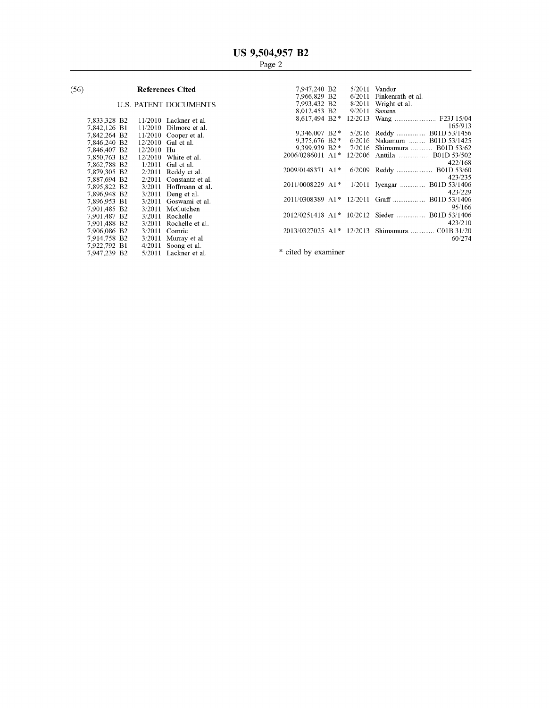# (56) **References Cited**

# U.S. PATENT DOCUMENTS

| 7,833,328 B2 |                | 11/2010 | Lackner et al.   |
|--------------|----------------|---------|------------------|
| 7,842,126    | B1             | 11/2010 | Dilmore et al.   |
| 7.842.264    | B <sub>2</sub> | 11/2010 | Cooper et al.    |
| 7,846,240    | Β2             | 12/2010 | Gal et al.       |
| 7,846,407    | В2             | 12/2010 | Hu               |
| 7,850,763    | B <sub>2</sub> | 12/2010 | White et al.     |
| 7,862,788    | Β2             | 1/2011  | Gal et al.       |
| 7.879.305    | В2             | 2/2011  | Reddy et al.     |
| 7,887,694    | B2             | 2/2011  | Constantz et al. |
| 7.895.822    | В2             | 3/2011  | Hoffmann et al.  |
| 7.896.948    | В2             | 3/2011  | Deng et al.      |
| 7.896.953    | B1             | 3/2011  | Goswami et al.   |
| 7,901,485    | B2             | 3/2011  | McCutchen        |
| 7.901.487    | B2             | 3/2011  | Rochelle         |
| 7,901,488    | B2             | 3/2011  | Rochelle et al.  |
| 7.906.086    | В2             | 3/2011  | Comrie           |
| 7.914.758    | В2             | 3/2011  | Murray et al.    |
| 7,922,792    | Вl             | 4/2011  | Soong et al.     |
| 7.947.239    | B2             | 5/2011  | Lackner et al.   |
|              |                |         |                  |

|                               | <b>References Cited</b>                         | 7,947,240 B <sub>2</sub>                |  | $5/2011$ Vandor                                |
|-------------------------------|-------------------------------------------------|-----------------------------------------|--|------------------------------------------------|
|                               |                                                 | 7.966.829 B2                            |  | 6/2011 Finkenrath et al.                       |
|                               | <b>U.S. PATENT DOCUMENTS</b>                    | 7.993.432 B2                            |  | $8/2011$ Wright et al.                         |
|                               |                                                 | 8,012,453 B2                            |  | $9/2011$ Saxena                                |
| 7.833.328 B2                  | $11/2010$ Lackner et al.                        | $8.617.494 B2*$                         |  |                                                |
| 7,842,126 B1                  | $11/2010$ Dilmore et al.                        |                                         |  | 165/913                                        |
| 7.842.264 B2                  | $11/2010$ Cooper et al.                         | $9,346,007$ B <sub>2</sub> <sup>*</sup> |  | 5/2016 Reddy  B01D 53/1456                     |
| 7,846,240 B2                  | $12/2010$ Gal et al.                            | $9.375,676$ B <sub>2</sub> $*$          |  | 6/2016 Nakamura  B01D 53/1425                  |
| 7,846,407 B2<br>$12/2010$ Hu  |                                                 |                                         |  | 9,399,939 B2 * 7/2016 Shimamura  B01D 53/62    |
| 7.850.763 B2                  | $12/2010$ White et al.                          | 2006/0286011 A1*                        |  | 12/2006 Anttila  B01D 53/502                   |
| 7,862,788 B2                  | $1/2011$ Gal et al.                             |                                         |  | 422/168                                        |
| 7.879.305 B2                  | $2/2011$ Reddy et al.                           | 2009/0148371 A1*                        |  | 6/2009 Reddy  B01D 53/60                       |
| 7.887.694 B2                  | $2/2011$ Constantz et al.                       |                                         |  | 423/235                                        |
| 7.895.822 B2                  | $3/2011$ Hoffmann et al.                        |                                         |  | 2011/0008229 A1* 1/2011 Iyengar  B01D 53/1406  |
| 7.896.948 B2                  |                                                 |                                         |  | 423/229                                        |
| 7,896,953 B1                  | $3/2011$ Deng et al.<br>3/2011 Goswami et al.   |                                         |  |                                                |
| 7,901,485 B2                  | 3/2011 McCutchen                                |                                         |  | 95/166                                         |
|                               |                                                 |                                         |  | 2012/0251418 A1* 10/2012 Sieder  B01D 53/1406  |
| 7.901.487 B2                  | 3/2011 Rochelle                                 |                                         |  | 423/210                                        |
| 7,901,488 B2                  | 3/2011 Rochelle et al.                          |                                         |  |                                                |
| 7.906.086 B2                  | $3/2011$ Comrie                                 |                                         |  | 2013/0327025 A1* 12/2013 Shimamura  C01B 31/20 |
| 7,914,758 B2<br>7.022.702.121 | $3/2011$ Murray et al.<br>$A/2011$ Roope of all |                                         |  | 60/274                                         |
|                               |                                                 |                                         |  |                                                |

\* cited by examiner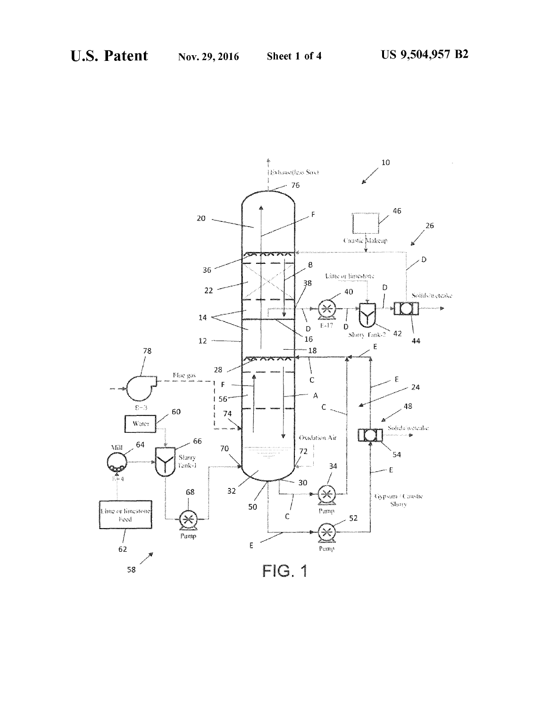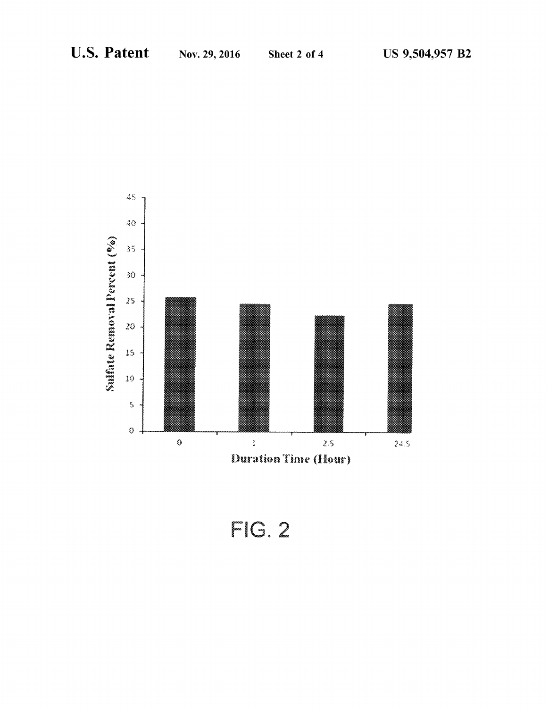

 $FIG. 2$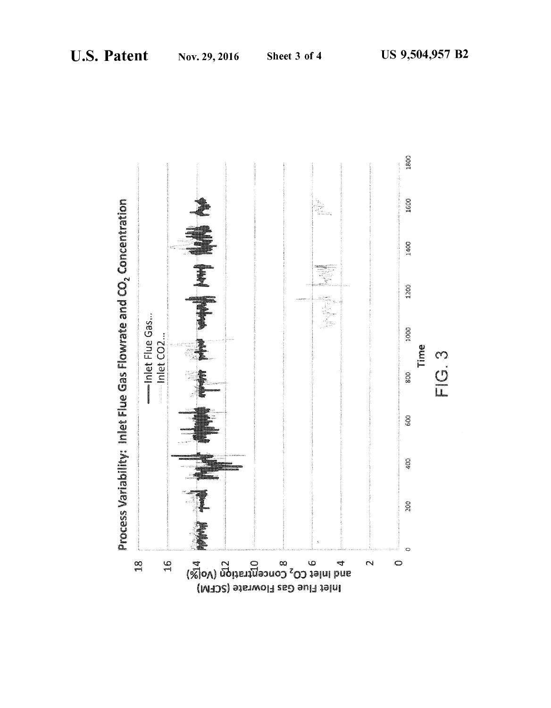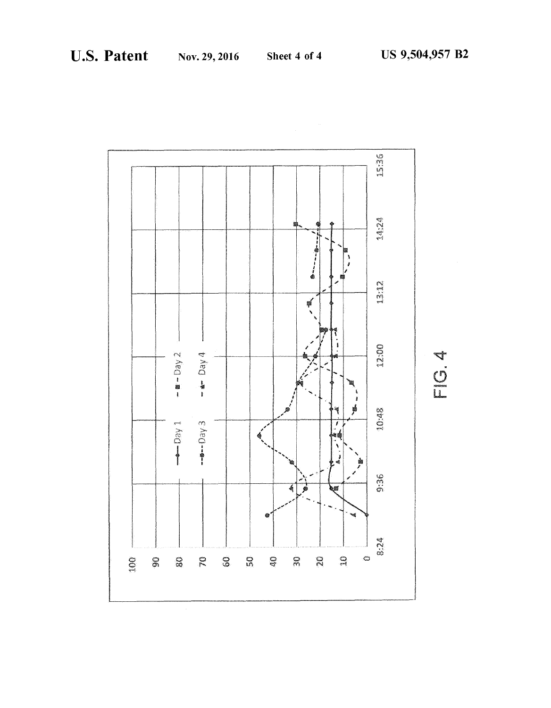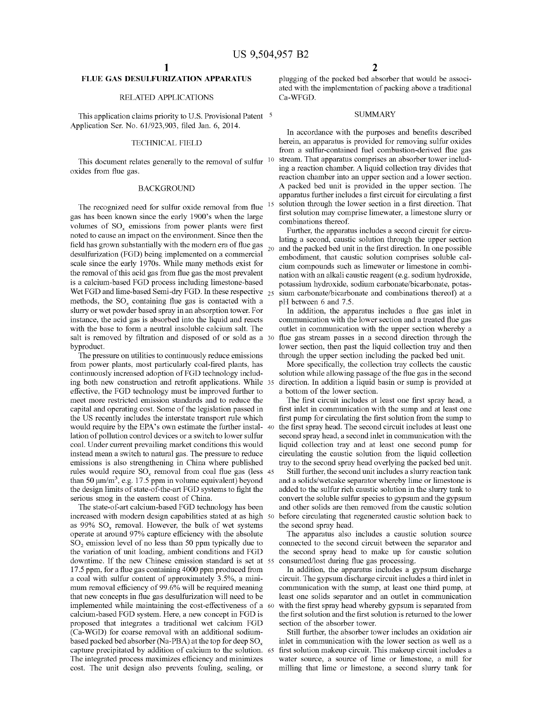### **FLUE GAS DESULFURIZATION APPARATUS**

#### RELATED APPLICATIONS

This application claims priority to U.S. Provisional Patent <sup>5</sup> Application Ser. No. 61/923,903, filed Jan. 6, 2014.

### TECHNICAL FIELD

This document relates generally to the removal of sulfur  $10$ oxides from flue gas.

#### BACKGROUND

The recognized need for sulfur oxide removal from flue gas has been known since the early 1900's when the large volumes of  $SO<sub>x</sub>$  emissions from power plants were first noted to cause an impact on the environment. Since then the field has grown substantially with the modern era of flue gas desulfurization (FGD) being implemented on a commercial scale since the early 1970s. While many methods exist for the removal of this acid gas from flue gas the most prevalent is a calcium-based FGD process including limestone-based Wet FGD and lime-based Semi-dry FGD. In these respective 25 methods, the  $SO_x$  containing flue gas is contacted with a slurry or wet powder based spray in an absorption tower. For instance, the acid gas is absorbed into the liquid and reacts with the base to form a neutral insoluble calcium salt. The salt is removed by filtration and disposed of or sold as a 30 byproduct.

The pressure on utilities to continuously reduce emissions from power plants, most particularly coal-fired plants, has continuously increased adoption of FGD technology including both new construction and retrofit applications. While 35 effective, the FGD technology must be improved further to meet more restricted emission standards and to reduce the capital and operating cost. Some of the legislation passed in the US recently includes the interstate transport rule which would require by the EPA's own estimate the further instal- 40 lation of pollution control devices or a switch to lower sulfur coal. Under current prevailing market conditions this would instead mean a switch to natural gas. The pressure to reduce emissions is also strengthening in China where published rules would require  $SO_x$  removal from coal flue gas (less 45 than 50  $\mu$ m/m<sup>3</sup>, e.g. 17.5 ppm in volume equivalent) beyond the design limits of state-of-the-art FGD systems to fight the serious smog in the eastern coast of China.

The state-of-art calcium-based FGD technology has been increased with modern design capabilities stated at as high 50 as 99%  $SO<sub>x</sub>$  removal. However, the bulk of wet systems operate at around 97% capture efficiency with the absolute SO<sub>2</sub> emission level of no less than 50 ppm typically due to the variation of unit loading, ambient conditions and FGD downtime. If the new Chinese emission standard is set at 55 17.5 ppm, for a flue gas containing 4000 ppm produced from a coal with sulfur content of approximately 3.5%, a minimum removal efficiency of 99.6% will be required meaning that new concepts in flue gas desulfurization will need to be implemented while maintaining the cost-effectiveness of a 60 calcium-based FGD system. Here, a new concept in FGD is proposed that integrates a traditional wet calcium FGD (Ca-WGD) for coarse removal with an additional sodiumbased packed bed absorber (Na-PBA) at the top for deep  $SO<sub>x</sub>$ capture precipitated by addition of calcium to the solution. 65 The integrated process maximizes efficiency and minimizes cost. The unit design also prevents fouling, scaling, or

plugging of the packed bed absorber that would be associated with the implementation of packing above a traditional Ca-WFGD.

#### **SUMMARY**

In accordance with the purposes and benefits described herein, an apparatus is provided for removing sulfur oxides from a sulfur-contained fuel combustion-derived flue gas stream. That apparatus comprises an absorber tower including a reaction chamber. A liquid collection tray divides that reaction chamber into an upper section and a lower section. A packed bed unit is provided in the upper section. The apparatus further includes a first circuit for circulating a first solution through the lower section in a first direction. That first solution may comprise limewater, a limestone slurry or combinations thereof.

Further, the apparatus includes a second circuit for circulating a second, caustic solution through the upper section and the packed bed unit in the first direction. In one possible embodiment, that caustic solution comprises soluble calcium compounds such as limewater or limestone in combination with an alkali caustic reagent (e.g. sodium hydroxide, potassium hydroxide, sodium carbonate/bicarbonate, potassium carbonate/bicarbonate and combinations thereof) at a pH between 6 and 7.5.

In addition, the apparatus includes a flue gas inlet in communication with the lower section and a treated flue gas outlet in communication with the upper section whereby a flue gas stream passes in a second direction through the lower section, then past the liquid collection tray and then through the upper section including the packed bed unit.

More specifically, the collection tray collects the caustic solution while allowing passage of the flue gas in the second direction. In addition a liquid basin or sump is provided at a bottom of the lower section.

The first circuit includes at least one first spray head, a first inlet in communication with the sump and at least one first pump for circulating the first solution from the sump to the first spray head. The second circuit includes at least one second spray head, a second inlet in communication with the liquid collection tray and at least one second pump for circulating the caustic solution from the liquid collection tray to the second spray head overlying the packed bed unit.

Still further, the second unit includes a slurry reaction tank and a solids/wetcake separator whereby lime or limestone is added to the sulfur rich caustic solution in the slurry tank to convert the soluble sulfur species to gypsum and the gypsum and other solids are then removed from the caustic solution before circulating that regenerated caustic solution back to the second spray head.

The apparatus also includes a caustic solution source connected to the second circuit between the separator and the second spray head to make up for caustic solution consumed/lost during flue gas processing.

In addition, the apparatus includes a gypsum discharge circuit. The gypsum discharge circuit includes a third inlet in communication with the sump, at least one third pump, at least one solids separator and an outlet in communication with the first spray head whereby gypsum is separated from the first solution and the first solution is returned to the lower section of the absorber tower.

Still further, the absorber tower includes an oxidation air inlet in communication with the lower section as well as a first solution makeup circuit. This makeup circuit includes a water source, a source of lime or limestone, a mill for milling that lime or limestone, a second slurry tank for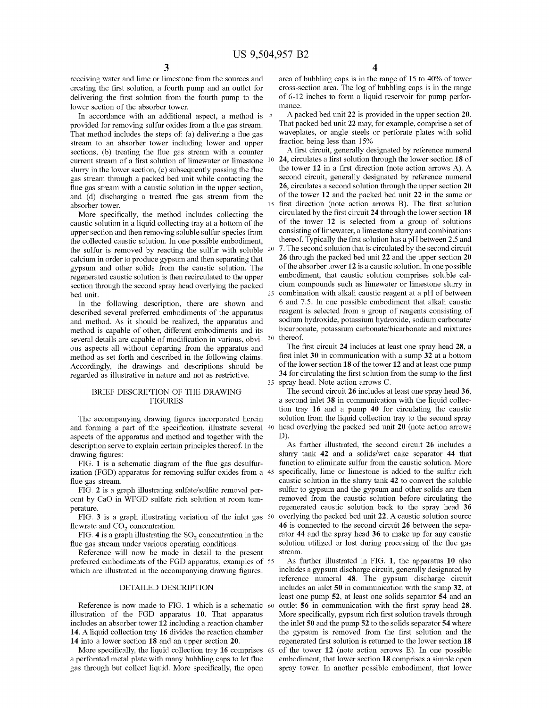receiving water and lime or limestone from the sources and creating the first solution, a fourth pump and an outlet for delivering the first solution from the fourth pump to the lower section of the absorber tower.

In accordance with an additional aspect, a method is <sup>5</sup> provided for removing sulfur oxides from a flue gas stream. That method includes the steps of: (a) delivering a flue gas stream to an absorber tower including lower and upper sections, (b) treating the flue gas stream with a counter current stream of a first solution of limewater or limestone 10 slurry in the lower section, (c) subsequently passing the flue gas stream through a packed bed unit while contacting the flue gas stream with a caustic solution in the upper section, and (d) discharging a treated flue gas stream from the absorber tower.

More specifically, the method includes collecting the caustic solution in a liquid collecting tray at a bottom of the upper section and then removing soluble sulfur-species from the collected caustic solution. In one possible embodiment, the sulfur is removed by reacting the sulfur with soluble  $20$ calcium in order to produce gypsum and then separating that gypsum and other solids from the caustic solution. The regenerated caustic solution is then recirculated to the upper section through the second spray head overlying the packed bed unit.

In the following description, there are shown and described several preferred embodiments of the apparatus and method. As it should be realized, the apparatus and method is capable of other, different embodiments and its several details are capable of modification in various, obvious aspects all without departing from the apparatus and method as set forth and described in the following claims. Accordingly, the drawings and descriptions should be regarded as illustrative in nature and not as restrictive.

#### BRIEF DESCRIPTION OF THE DRAWING FIGURES

The accompanying drawing figures incorporated herein and forming a part of the specification, illustrate several aspects of the apparatus and method and together with the description serve to explain certain principles thereof. In the drawing figures:

FIG. **1** is a schematic diagram of the flue gas desulfurization (FGD) apparatus for removing sulfur oxides from a 45 flue gas stream.

FIG. **2** is a graph illustrating sulfate/sulfite removal percent by CaO in WFGD sulfate rich solution at room temperature.

FIG. **3** is a graph illustrating variation of the inlet gas flowrate and  $CO<sub>2</sub>$  concentration.

FIG. 4 is a graph illustrating the  $SO<sub>2</sub>$  concentration in the flue gas stream under various operating conditions.

Reference will now be made in detail to the present stream. preferred embodiments of the FGD apparatus, examples of 55 which are illustrated in the accompanying drawing figures.

#### DETAILED DESCRIPTION

Reference is now made to FIG. **1** which is a schematic illustration of the FGD apparatus **10.** That apparatus includes an absorber tower **12** including a reaction chamber **14.** A liquid collection tray **16** divides the reaction chamber **14** into a lower section **18** and an upper section **20.** 

More specifically, the liquid collection tray **16** comprises a perforated metal plate with many bubbling caps to let flue gas through but collect liquid. More specifically, the open

**4** 

area of bubbling caps is in the range of 15 to 40% of tower cross-section area. The log of bubbling caps is in the range of 6-12 inches to form a liquid reservoir for pump performance.

A packed bed unit **22** is provided in the upper section **20.**  That packed bed unit **22** may, for example, comprise a set of waveplates, or angle steels or perforate plates with solid fraction being less than 15%

A first circuit, generally designated by reference numeral <sup>10</sup>**24,** circulates a first solution through the lower section **18** of the tower **12** in a first direction (note action arrows A). A second circuit, generally designated by reference numeral **26,** circulates a second solution through the upper section **20**  of the tower **12** and the packed bed unit **22** in the same or first direction (note action arrows B). The first solution circulated by the first circuit **24** through the lower section **18**  of the tower **12** is selected from a group of solutions consisting of limewater, a limestone slurry and combinations thereof. Typically the first solution has a pH between 2.5 and 7. The second solution that is circulated by the second circuit **26** through the packed bed unit **22** and the upper section **20**  of the absorber tower **12** is a caustic solution. In one possible embodiment, that caustic solution comprises soluble calcium compounds such as limewater or limestone slurry in combination with alkali caustic reagent at a pH of between 6 and 7.5. In one possible embodiment that alkali caustic reagent is selected from a group of reagents consisting of sodium hydroxide, potassium hydroxide, sodium carbonate/ bicarbonate, potassium carbonate/bicarbonate and mixtures 30 thereof.

The first circuit **24** includes at least one spray head **28,** a first inlet **30** in communication with a sump **32** at a bottom of the lower section **18** of the tower **12** and at least one pump **34** for circulating the first solution from the sump to the first 35 spray head. Note action arrows C.

The second circuit **26** includes at least one spray head **36,**  a second inlet **38** in communication with the liquid collection tray **16** and a pump **40** for circulating the caustic solution from the liquid collection tray to the second spray head overlying the packed bed unit 20 (note action arrows D).

As further illustrated, the second circuit **26** includes a slurry tank **42** and a solids/wet cake separator **44** that function to eliminate sulfur from the caustic solution. More specifically, lime or limestone is added to the sulfur rich caustic solution in the slurry tank **42** to convert the soluble sulfur to gypsum and the gypsum and other solids are then removed from the caustic solution before circulating the regenerated caustic solution back to the spray head **36**  50 overlying the packed bed unit **22.** A caustic solution source **46** is connected to the second circuit **26** between the separator **44** and the spray head **36** to make up for any caustic solution utilized or lost during processing of the flue gas

As further illustrated in FIG. **1,** the apparatus **10** also includes a gypsum discharge circuit, generally designated by reference numeral **48.** The gypsum discharge circuit includes an inlet **50** in communication with the sump **32,** at least one pump **52,** at least one solids separator **54** and an outlet 56 in communication with the first spray head 28. More specifically, gypsum rich first solution travels through the inlet **50** and the pump **52** to the solids separator **54** where the gypsum is removed from the first solution and the regenerated first solution is returned to the lower section **18**  65 of the tower **12** (note action arrows E). In one possible embodiment, that lower section **18** comprises a simple open spray tower. In another possible embodiment, that lower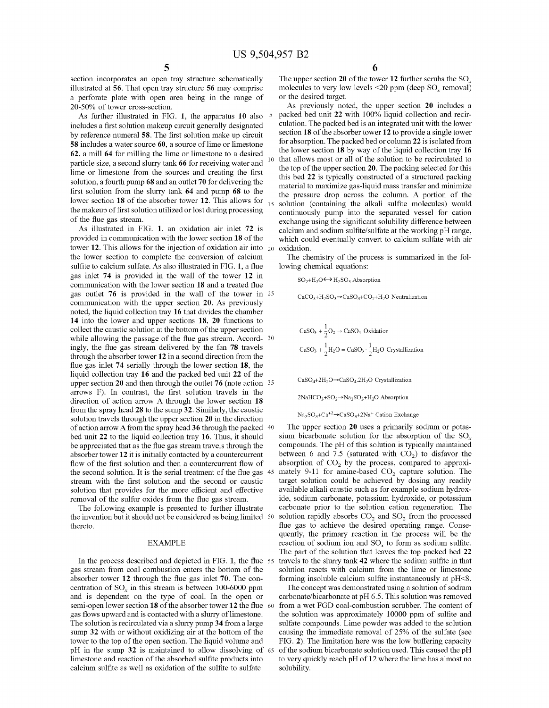section incorporates an open tray structure schematically illustrated at 56. That open tray structure 56 may comprise a perforate plate with open area being in the range of 20-50% of tower cross-section.

As further illustrated in FIG. **1,** the apparatus 10 also includes a first solution makeup circuit generally designated by reference numeral 58. The first solution make up circuit 58 includes a water source 60, a source of lime or limestone 62, a mill 64 for milling the lime or limestone to a desired particle size, a second slurry tank 66 for receiving water and lime or limestone from the sources and creating the first solution, a fourth pump 68 and an outlet 70 for delivering the first solution from the slurry tank 64 and pump 68 to the lower section 18 of the absorber tower 12. This allows for  $_{15}$ the makeup of first solution utilized or lost during processing of the flue gas stream.

As illustrated in FIG. **1,** an oxidation air inlet 72 is provided in communication with the lower section 18 of the tower 12. This allows for the injection of oxidation air into  $_{20}$ the lower section to complete the conversion of calcium sulfite to calcium sulfate. As also illustrated in FIG. **1,** a flue gas inlet 74 is provided in the wall of the tower 12 in communication with the lower section 18 and a treated flue gas outlet 76 is provided in the wall of the tower in 25 communication with the upper section 20. As previously noted, the liquid collection tray 16 that divides the chamber **14** into the lower and upper sections 18, 20 functions to collect the caustic solution at the bottom of the upper section while allowing the passage of the flue gas stream. Accord- <sup>30</sup> ingly, the flue gas stream delivered by the fan 78 travels through the absorber tower 12 in a second direction from the flue gas inlet 74 serially through the lower section 18, the liquid collection tray 16 and the packed bed unit 22 of the upper section 20 and then through the outlet 76 (note action 35 arrows F). In contrast, the first solution travels in the direction of action arrow A through the lower section 18 from the spray head 28 to the sump 32. Similarly, the caustic solution travels through the upper section 20 in the direction of action arrow A from the spray head 36 through the packed 40 bed unit 22 to the liquid collection tray 16. Thus, it should be appreciated that as the flue gas stream travels through the absorber tower 12 it is initially contacted by a countercurrent flow of the first solution and then a countercurrent flow of the second solution. It is the serial treatment of the flue gas 45 stream with the first solution and the second or caustic solution that provides for the more efficient and effective removal of the sulfur oxides from the flue gas stream.

the invention but it should not be considered as being limited 50 thereto.

#### EXAMPLE

In the process described and depicted in FIG. **1,** the flue gas stream from coal combustion enters the bottom of the absorber tower 12 through the flue gas inlet 70. The concentration of  $SO<sub>x</sub>$  in this stream is between 100-6000 ppm and is dependent on the type of coal. In the open or semi-open lower section 18 of the absorber tower 12 the flue 60 gas flows upward and is contacted with a slurry of limestone. The solution is recirculated via a slurry pump 34 from a large sump 32 with or without oxidizing air at the bottom of the tower to the top of the open section. The liquid volume and pH in the sump 32 is maintained to allow dissolving of 65 limestone and reaction of the absorbed sulfite products into calcium sulfite as well as oxidation of the sulfite to sulfate.

The upper section 20 of the tower 12 further scrubs the  $SO<sub>x</sub>$ molecules to very low levels  $\leq 20$  ppm (deep SO<sub>x</sub> removal) or the desired target.

As previously noted, the upper section 20 includes a packed bed unit 22 with 100% liquid collection and recirculation. The packed bed is an integrated unit with the lower section 18 of the absorber tower 12 to provide a single tower for absorption. The packed bed or colunm 22 is isolated from the lower section 18 by way of the liquid collection tray 16 that allows most or all of the solution to be recirculated to the top of the upper section 20. The packing selected for this this bed 22 is typically constructed of a structured packing material to maximize gas-liquid mass transfer and minimize the pressure drop across the column. A portion of the solution (containing the alkali sulfite molecules) would continuously pump into the separated vessel for cation exchange using the significant solubility difference between calcium and sodium sulfite/sulfate at the working pH range, which could eventually convert to calcium sulfate with air oxidation.

The chemistry of the process is summarized in the following chemical equations:

 $SO_2+H_2O \leftrightarrow H_2SO_3$  Absorption

 $CaCO<sub>3</sub>+H<sub>2</sub>SO<sub>3</sub> \rightarrow CaSO<sub>3</sub>+CO<sub>2</sub>+H<sub>2</sub>O$  Neutralization

$$
CaSO_3 + \frac{1}{2}O_2 \rightarrow CaSO_4 \text{ Oxidation}
$$
  

$$
CaSO_3 + \frac{1}{2}H_2O = CaSO_3 \cdot \frac{1}{2}H_2O \text{ Crystalization}
$$

 $CaSO_4+2H_2O \rightarrow CaSO_4.2H_2O$  Crystallization

 $2NaHCO<sub>3</sub>+SO<sub>2</sub> \rightarrow Na<sub>2</sub>SO<sub>3</sub>+H<sub>2</sub>O Absorption$ 

 $Na<sub>2</sub>SO<sub>3</sub>+Ca<sup>+2</sup> \rightarrow CaSO<sub>3</sub>+2Na<sup>+</sup> Cation Exchange$ 

The upper section 20 uses a primarily sodium or potassium bicarbonate solution for the absorption of the  $SO<sub>x</sub>$ compounds. The pH of this solution is typically maintained between 6 and 7.5 (saturated with  $CO<sub>2</sub>$ ) to disfavor the absorption of  $CO<sub>2</sub>$  by the process, compared to approximately 9-11 for amine-based  $CO<sub>2</sub>$  capture solution. The target solution could be achieved by dosing any readily available alkali caustic such as for example sodium hydroxide, sodium carbonate, potassium hydroxide, or potassium The following example is presented to further illustrate carbonate prior to the solution cation regeneration. The solution rapidly absorbs  $CO<sub>2</sub>$  and  $SO<sub>2</sub>$  from the processed flue gas to achieve the desired operating range. Consequently, the primary reaction in the process will be the reaction of sodium ion and  $SO<sub>x</sub>$  to form as sodium sulfite. The part of the solution that leaves the top packed bed 22 travels to the slurry tank 42 where the sodium sulfite in that solution reacts with calcium from the lime or limestone forming insoluble calcium sulfite instantaneously at pH<S.

> The concept was demonstrated using a solution of sodium carbonate/bicarbonate at pH 6.5. This solution was removed from a wet FGD coal-combustion scrubber. The content of the solution was approximately 10000 ppm of sulfite and sulfate compounds. Lime powder was added to the solution causing the immediate removal of 25% of the sulfate (see FIG. 2). The limitation here was the low buffering capacity 65 of the sodium bicarbonate solution used. This caused the pH to very quickly reach pH of 12 where the lime has almost no solubility.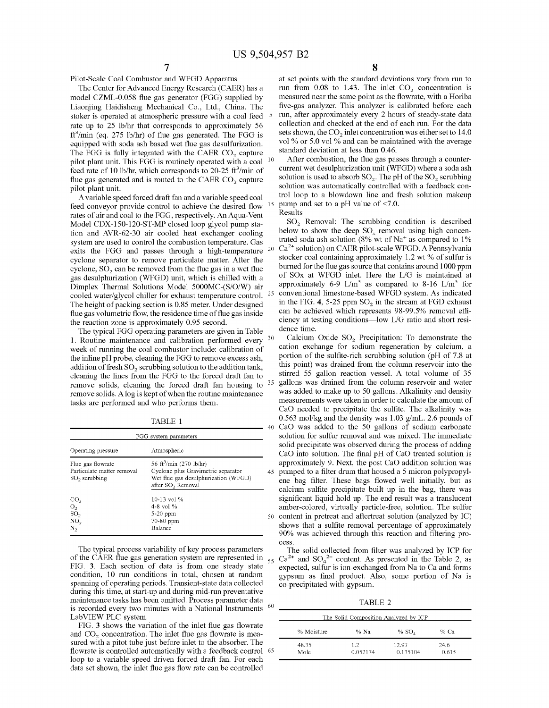Pilot-Scale Coal Combustor and WFGD Apparatus

The Center for Advanced Energy Research (CAER) has a model CZML-0.058 flue gas generator (FGG) supplied by Liaonjing Haidisheng Mechanical Co., Ltd., China. The stoker is operated at atmospheric pressure with a coal feed rate up to 25 lb/hr that corresponds to approximately 56 ft<sup>3</sup>/min (eq. 275 lb/hr) of flue gas generated. The FGG is equipped with soda ash based wet flue gas desulfurization. The FGG is fully integrated with the CAER  $CO<sub>2</sub>$  capture pilot plant unit. This FGG is routinely operated with a coal <sup>10</sup> feed rate of 10 lb/hr, which corresponds to 20-25  $ft^3$ /min of flue gas generated and is routed to the CAER  $CO<sub>2</sub>$  capture pilot plant unit.

A variable speed forced draft fan and a variable speed coal feed conveyor provide control to achieve the desired flow rates of air and coal to the FGG, respectively. An Aqua-Vent Model CDX-150-120-ST-MP closed loop glycol pump station and AVR-62-30 air cooled heat exchanger cooling system are used to control the combustion temperature. Gas exits the FGG and passes through a high-temperature 20 cyclone separator to remove particulate matter. After the cyclone,  $SO<sub>2</sub>$  can be removed from the flue gas in a wet flue gas desulphurization (WFGD) unit, which is chilled with a Dimplex Thermal Solutions Model 5000MC-(S/O/W) air cooled water/glycol chiller for exhaust temperature control. <sup>25</sup> The height of packing section is 0.85 meter. Under designed flue gas volumetric flow, the residence time of flue gas inside the reaction zone is approximately 0.95 second.

The typical FGG operating parameters are given in Table 1. Routine maintenance and calibration performed every 30 week of running the coal combustor include: calibration of the inline pH probe, cleaning the FGG to remove excess ash, addition of fresh  $SO_2$  scrubbing solution to the addition tank, cleaning the lines from the FGG to the forced draft fan to remove solids, cleaning the forced draft fan housing to <sup>35</sup> remove solids. A log is kept of when the routine maintenance tasks are performed and who performs them.

| FGG system parameters                                                         |                                                                                                                                                    |   |
|-------------------------------------------------------------------------------|----------------------------------------------------------------------------------------------------------------------------------------------------|---|
| Operating pressure                                                            | Atmospheric                                                                                                                                        |   |
| Flue gas flowrate<br>Particulate matter removal<br>$SO2$ scrubbing            | 56 ft <sup>3</sup> /min (270 lb/hr)<br>Cyclone plus Gravimetric separator<br>Wet flue gas desulphurization (WFGD)<br>after SO <sub>2</sub> Removal |   |
| CO <sub>2</sub><br>O <sub>2</sub><br>SO <sub>2</sub><br>NO <sub>r</sub><br>N, | 10-13 vol %<br>4-8 vol %<br>$5-20$ ppm<br>70-80 ppm<br>Balance                                                                                     | 5 |

The typical process variability of key process parameters of the CAER flue gas generation system are represented in  $_{55}$ FIG. 3. Each section of data is from one steady state condition, 10 run conditions in total, chosen at random spanning of operating periods. Transient-state data collected during this time, at start-up and during mid-run preventative maintenance tasks has been omitted. Process parameter data is recorded every two minutes with a National Instruments <sup>60</sup> LabVIEW PLC system.

FIG. 3 shows the variation of the inlet flue gas flowrate and  $CO<sub>2</sub>$  concentration. The inlet flue gas flowrate is measured with a pitot tube just before inlet to the absorber. The flowrate is controlled automatically with a feedback control 65 loop to a variable speed driven forced draft fan. For each data set shown, the inlet flue gas flow rate can be controlled

8

at set points with the standard deviations vary from run to run from  $0.08$  to 1.43. The inlet  $CO<sub>2</sub>$  concentration is measured near the same point as the flowrate, with a Horiba five-gas analyzer. This analyzer is calibrated before each run, after approximately every 2 hours of steady-state data collection and checked at the end of each run. For the data sets shown, the  $CO<sub>2</sub>$  inlet concentration was either set to 14.0 vol % or 5.0 vol % and can be maintained with the average standard deviation at less than 0.46.

After combustion, the flue gas passes through a countercurrent wet desulphurization unit (WFGD) where a soda ash solution is used to absorb  $SO_2$ . The pH of the  $SO_2$  scrubbing solution was automatically controlled with a feedback control loop to a blowdown line and fresh solution makeup pump and set to a pH value of <7.0.

Results

 $SO<sub>2</sub>$  Removal: The scrubbing condition is described below to show the deep  $SO<sub>x</sub>$  removal using high concentrated soda ash solution (8% wt of Na<sup>+</sup> as compared to 1% Ca<sup>2+</sup> solution) on CAER pilot-scale WFGD. A Pennsylvania stocker coal containing approximately 1.2 wt % of sulfur is burned for the flue gas source that contains around 1000 ppm of SOx at WFGD inlet. Here the LIG is maintained at approximately 6-9  $L/m<sup>3</sup>$  as compared to 8-16  $L/m<sup>3</sup>$  for conventional limestone-based WFGD system. As indicated in the FIG. 4, 5-25 ppm  $SO<sub>2</sub>$  in the stream at FGD exhaust can be achieved which represents 98-99.5% removal efficiency at testing conditions-low LIG ratio and short residence time.

Calcium Oxide SO<sub>2</sub> Precipitation: To demonstrate the cation exchange for sodium regeneration by calcium, a portion of the sulfite-rich scrubbing solution (pH of 7.8 at this point) was drained from the colunm reservoir into the stirred 55 gallon reaction vessel. A total volume of 35 gallons was drained from the colunm reservoir and water was added to make up to 50 gallons. Alkalinity and density measurements were taken in order to calculate the amount of CaO needed to precipitate the sulfite. The alkalinity was 0.563 mol/kg and the density was 1.03 g/mL. 2.6 pounds of TABLE 1 40 CaO was added to the 50 gallons of sodium carbonate solution for sulfur removal and was mixed. The immediate solid precipitate was observed during the process of adding CaO into solution. The final pH of CaO treated solution is approximately 9. Next, the post CaO addition solution was 45 pumped to a filter drum that housed a 5 micron polypropylene bag filter. These bags flowed well initially, but as calcium sulfite precipitate built up in the bag, there was significant liquid hold up. The end result was a translucent amber-colored, virtually particle-free, solution. The sulfur 50 content in pretreat and aftertreat solution (analyzed by IC) shows that a sulfite removal percentage of approximately 90% was achieved through this reaction and filtering process.

> The solid collected from filter was analyzed by ICP for  $55 \text{ Ca}^{2+}$  and  $\text{SO}_4{}^{2-}$  content. As presented in the Table 2, as expected, sulfur is ion-exchanged from Na to Ca and forms gypsum as final product. Also, some portion of Na is co-precipitated with gypsum.

TABLE 2

| The Solid Composition Analyzed by ICP |                 |                   |               |  |  |
|---------------------------------------|-----------------|-------------------|---------------|--|--|
| % Moisture                            | % Na            | % $SOA$           | % Са          |  |  |
| 48.35<br>Mole                         | 1.2<br>0.052174 | 12.97<br>0.135104 | 24.6<br>0.615 |  |  |